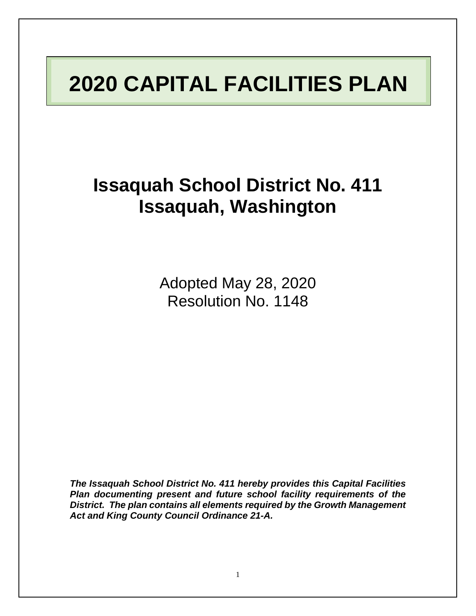# **2020 CAPITAL FACILITIES PLAN**

**Issaquah School District No. 411 Issaquah, Washington**

> Adopted May 28, 2020 Resolution No. 1148

*The Issaquah School District No. 411 hereby provides this Capital Facilities Plan documenting present and future school facility requirements of the District. The plan contains all elements required by the Growth Management Act and King County Council Ordinance 21-A.*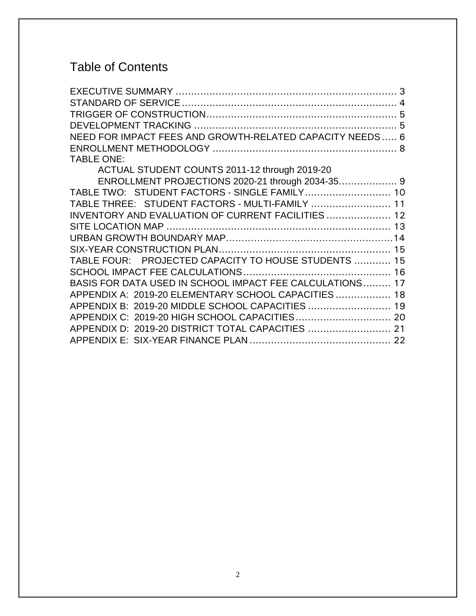## Table of Contents

| NEED FOR IMPACT FEES AND GROWTH-RELATED CAPACITY NEEDS 6 |  |
|----------------------------------------------------------|--|
|                                                          |  |
| <b>TABLE ONE:</b>                                        |  |
| ACTUAL STUDENT COUNTS 2011-12 through 2019-20            |  |
|                                                          |  |
| TABLE TWO: STUDENT FACTORS - SINGLE FAMILY 10            |  |
| TABLE THREE: STUDENT FACTORS - MULTI-FAMILY  11          |  |
| INVENTORY AND EVALUATION OF CURRENT FACILITIES  12       |  |
|                                                          |  |
|                                                          |  |
|                                                          |  |
| TABLE FOUR: PROJECTED CAPACITY TO HOUSE STUDENTS  15     |  |
|                                                          |  |
| BASIS FOR DATA USED IN SCHOOL IMPACT FEE CALCULATIONS 17 |  |
| APPENDIX A: 2019-20 ELEMENTARY SCHOOL CAPACITIES  18     |  |
| APPENDIX B: 2019-20 MIDDLE SCHOOL CAPACITIES  19         |  |
| APPENDIX C: 2019-20 HIGH SCHOOL CAPACITIES 20            |  |
| APPENDIX D: 2019-20 DISTRICT TOTAL CAPACITIES  21        |  |
|                                                          |  |
|                                                          |  |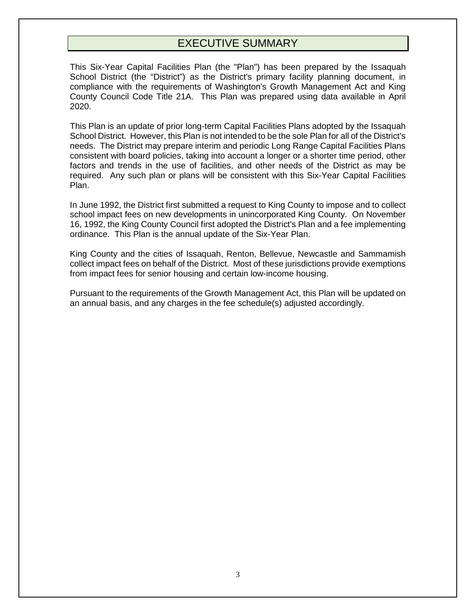## EXECUTIVE SUMMARY

<span id="page-2-0"></span>This Six-Year Capital Facilities Plan (the "Plan") has been prepared by the Issaquah School District (the "District") as the District's primary facility planning document, in compliance with the requirements of Washington's Growth Management Act and King County Council Code Title 21A. This Plan was prepared using data available in April 2020.

This Plan is an update of prior long-term Capital Facilities Plans adopted by the Issaquah School District. However, this Plan is not intended to be the sole Plan for all of the District's needs. The District may prepare interim and periodic Long Range Capital Facilities Plans consistent with board policies, taking into account a longer or a shorter time period, other factors and trends in the use of facilities, and other needs of the District as may be required. Any such plan or plans will be consistent with this Six-Year Capital Facilities Plan.

In June 1992, the District first submitted a request to King County to impose and to collect school impact fees on new developments in unincorporated King County. On November 16, 1992, the King County Council first adopted the District's Plan and a fee implementing ordinance. This Plan is the annual update of the Six-Year Plan.

King County and the cities of Issaquah, Renton, Bellevue, Newcastle and Sammamish collect impact fees on behalf of the District. Most of these jurisdictions provide exemptions from impact fees for senior housing and certain low-income housing.

Pursuant to the requirements of the Growth Management Act, this Plan will be updated on an annual basis, and any charges in the fee schedule(s) adjusted accordingly.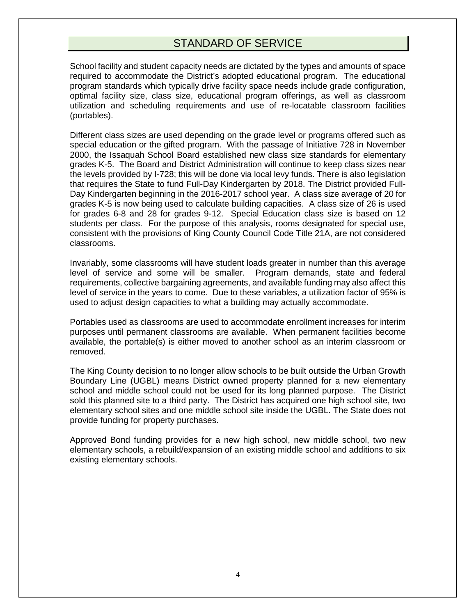## STANDARD OF SERVICE

<span id="page-3-0"></span>School facility and student capacity needs are dictated by the types and amounts of space required to accommodate the District's adopted educational program. The educational program standards which typically drive facility space needs include grade configuration, optimal facility size, class size, educational program offerings, as well as classroom utilization and scheduling requirements and use of re-locatable classroom facilities (portables).

Different class sizes are used depending on the grade level or programs offered such as special education or the gifted program. With the passage of Initiative 728 in November 2000, the Issaquah School Board established new class size standards for elementary grades K-5. The Board and District Administration will continue to keep class sizes near the levels provided by I-728; this will be done via local levy funds. There is also legislation that requires the State to fund Full-Day Kindergarten by 2018. The District provided Full-Day Kindergarten beginning in the 2016-2017 school year. A class size average of 20 for grades K-5 is now being used to calculate building capacities. A class size of 26 is used for grades 6-8 and 28 for grades 9-12. Special Education class size is based on 12 students per class. For the purpose of this analysis, rooms designated for special use, consistent with the provisions of King County Council Code Title 21A, are not considered classrooms.

Invariably, some classrooms will have student loads greater in number than this average level of service and some will be smaller. Program demands, state and federal requirements, collective bargaining agreements, and available funding may also affect this level of service in the years to come. Due to these variables, a utilization factor of 95% is used to adjust design capacities to what a building may actually accommodate.

Portables used as classrooms are used to accommodate enrollment increases for interim purposes until permanent classrooms are available. When permanent facilities become available, the portable(s) is either moved to another school as an interim classroom or removed.

The King County decision to no longer allow schools to be built outside the Urban Growth Boundary Line (UGBL) means District owned property planned for a new elementary school and middle school could not be used for its long planned purpose. The District sold this planned site to a third party. The District has acquired one high school site, two elementary school sites and one middle school site inside the UGBL. The State does not provide funding for property purchases.

Approved Bond funding provides for a new high school, new middle school, two new elementary schools, a rebuild/expansion of an existing middle school and additions to six existing elementary schools.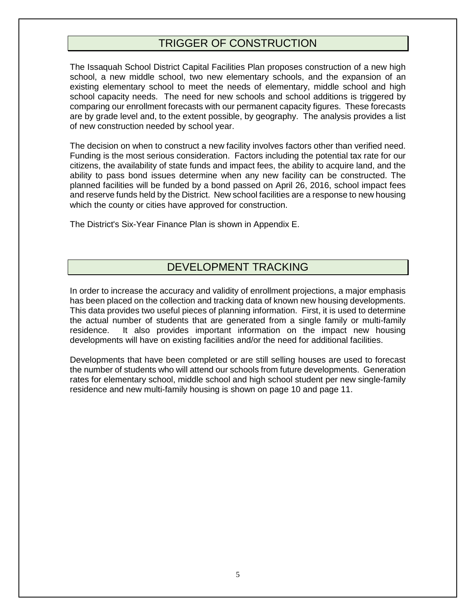## TRIGGER OF CONSTRUCTION

<span id="page-4-0"></span>The Issaquah School District Capital Facilities Plan proposes construction of a new high school, a new middle school, two new elementary schools, and the expansion of an existing elementary school to meet the needs of elementary, middle school and high school capacity needs. The need for new schools and school additions is triggered by comparing our enrollment forecasts with our permanent capacity figures. These forecasts are by grade level and, to the extent possible, by geography. The analysis provides a list of new construction needed by school year.

The decision on when to construct a new facility involves factors other than verified need. Funding is the most serious consideration. Factors including the potential tax rate for our citizens, the availability of state funds and impact fees, the ability to acquire land, and the ability to pass bond issues determine when any new facility can be constructed. The planned facilities will be funded by a bond passed on April 26, 2016, school impact fees and reserve funds held by the District. New school facilities are a response to new housing which the county or cities have approved for construction.

The District's Six-Year Finance Plan is shown in Appendix E.

## DEVELOPMENT TRACKING

<span id="page-4-1"></span>In order to increase the accuracy and validity of enrollment projections, a major emphasis has been placed on the collection and tracking data of known new housing developments. This data provides two useful pieces of planning information. First, it is used to determine the actual number of students that are generated from a single family or multi-family residence. It also provides important information on the impact new housing developments will have on existing facilities and/or the need for additional facilities.

Developments that have been completed or are still selling houses are used to forecast the number of students who will attend our schools from future developments. Generation rates for elementary school, middle school and high school student per new single-family residence and new multi-family housing is shown on page 10 and page 11.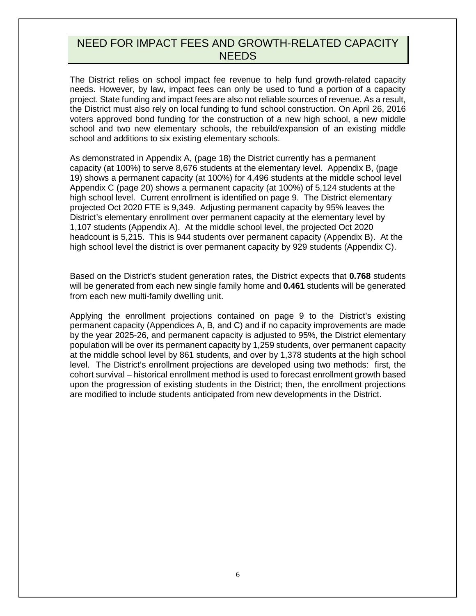#### <span id="page-5-0"></span>NEED FOR IMPACT FEES AND GROWTH-RELATED CAPACITY NEEDS

The District relies on school impact fee revenue to help fund growth-related capacity needs. However, by law, impact fees can only be used to fund a portion of a capacity project. State funding and impact fees are also not reliable sources of revenue. As a result, the District must also rely on local funding to fund school construction. On April 26, 2016 voters approved bond funding for the construction of a new high school, a new middle school and two new elementary schools, the rebuild/expansion of an existing middle school and additions to six existing elementary schools.

As demonstrated in Appendix A, (page 18) the District currently has a permanent capacity (at 100%) to serve 8,676 students at the elementary level. Appendix B, (page 19) shows a permanent capacity (at 100%) for 4,496 students at the middle school level Appendix C (page 20) shows a permanent capacity (at 100%) of 5,124 students at the high school level. Current enrollment is identified on page 9. The District elementary projected Oct 2020 FTE is 9,349. Adjusting permanent capacity by 95% leaves the District's elementary enrollment over permanent capacity at the elementary level by 1,107 students (Appendix A). At the middle school level, the projected Oct 2020 headcount is 5,215. This is 944 students over permanent capacity (Appendix B). At the high school level the district is over permanent capacity by 929 students (Appendix C).

Based on the District's student generation rates, the District expects that **0.768** students will be generated from each new single family home and **0.461** students will be generated from each new multi-family dwelling unit.

Applying the enrollment projections contained on page 9 to the District's existing permanent capacity (Appendices A, B, and C) and if no capacity improvements are made by the year 2025-26, and permanent capacity is adjusted to 95%, the District elementary population will be over its permanent capacity by 1,259 students, over permanent capacity at the middle school level by 861 students, and over by 1,378 students at the high school level. The District's enrollment projections are developed using two methods: first, the cohort survival – historical enrollment method is used to forecast enrollment growth based upon the progression of existing students in the District; then, the enrollment projections are modified to include students anticipated from new developments in the District.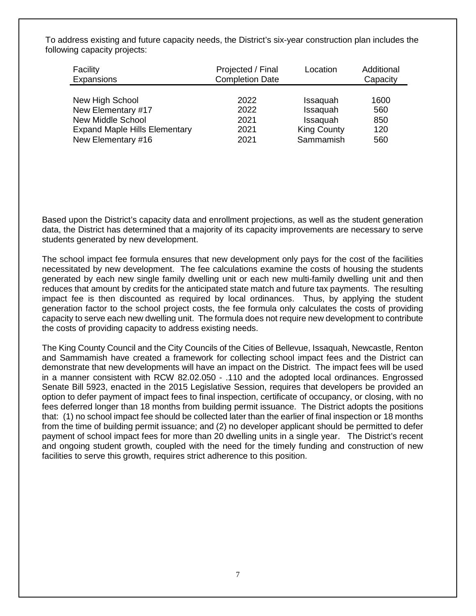| Facility<br>Expansions               | Projected / Final<br><b>Completion Date</b> | Location           | Additional<br>Capacity |
|--------------------------------------|---------------------------------------------|--------------------|------------------------|
|                                      |                                             |                    |                        |
| New High School                      | 2022                                        | Issaquah           | 1600                   |
| New Elementary #17                   | 2022                                        | Issaquah           | 560                    |
| New Middle School                    | 2021                                        | Issaquah           | 850                    |
| <b>Expand Maple Hills Elementary</b> | 2021                                        | <b>King County</b> | 120                    |
| New Elementary #16                   | 2021                                        | Sammamish          | 560                    |

To address existing and future capacity needs, the District's six-year construction plan includes the following capacity projects:

Based upon the District's capacity data and enrollment projections, as well as the student generation data, the District has determined that a majority of its capacity improvements are necessary to serve students generated by new development.

The school impact fee formula ensures that new development only pays for the cost of the facilities necessitated by new development. The fee calculations examine the costs of housing the students generated by each new single family dwelling unit or each new multi-family dwelling unit and then reduces that amount by credits for the anticipated state match and future tax payments. The resulting impact fee is then discounted as required by local ordinances. Thus, by applying the student generation factor to the school project costs, the fee formula only calculates the costs of providing capacity to serve each new dwelling unit. The formula does not require new development to contribute the costs of providing capacity to address existing needs.

The King County Council and the City Councils of the Cities of Bellevue, Issaquah, Newcastle, Renton and Sammamish have created a framework for collecting school impact fees and the District can demonstrate that new developments will have an impact on the District. The impact fees will be used in a manner consistent with RCW 82.02.050 - .110 and the adopted local ordinances. Engrossed Senate Bill 5923, enacted in the 2015 Legislative Session, requires that developers be provided an option to defer payment of impact fees to final inspection, certificate of occupancy, or closing, with no fees deferred longer than 18 months from building permit issuance. The District adopts the positions that: (1) no school impact fee should be collected later than the earlier of final inspection or 18 months from the time of building permit issuance; and (2) no developer applicant should be permitted to defer payment of school impact fees for more than 20 dwelling units in a single year. The District's recent and ongoing student growth, coupled with the need for the timely funding and construction of new facilities to serve this growth, requires strict adherence to this position.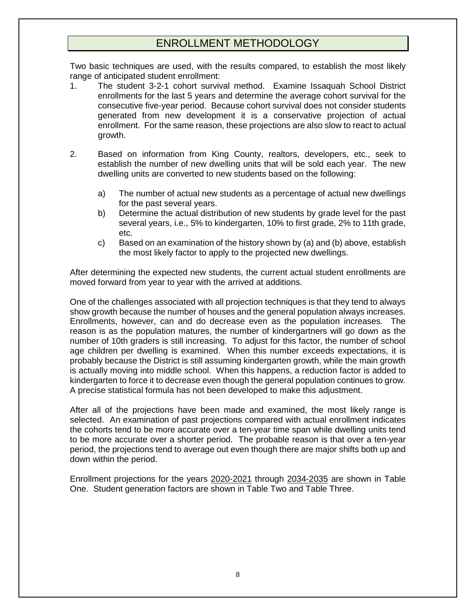## ENROLLMENT METHODOLOGY

<span id="page-7-0"></span>Two basic techniques are used, with the results compared, to establish the most likely range of anticipated student enrollment:

- 1. The student 3-2-1 cohort survival method. Examine Issaquah School District enrollments for the last 5 years and determine the average cohort survival for the consecutive five-year period. Because cohort survival does not consider students generated from new development it is a conservative projection of actual enrollment. For the same reason, these projections are also slow to react to actual growth.
- 2. Based on information from King County, realtors, developers, etc., seek to establish the number of new dwelling units that will be sold each year. The new dwelling units are converted to new students based on the following:
	- a) The number of actual new students as a percentage of actual new dwellings for the past several years.
	- b) Determine the actual distribution of new students by grade level for the past several years, i.e., 5% to kindergarten, 10% to first grade, 2% to 11th grade, etc.
	- c) Based on an examination of the history shown by (a) and (b) above, establish the most likely factor to apply to the projected new dwellings.

After determining the expected new students, the current actual student enrollments are moved forward from year to year with the arrived at additions.

One of the challenges associated with all projection techniques is that they tend to always show growth because the number of houses and the general population always increases. Enrollments, however, can and do decrease even as the population increases. The reason is as the population matures, the number of kindergartners will go down as the number of 10th graders is still increasing. To adjust for this factor, the number of school age children per dwelling is examined. When this number exceeds expectations, it is probably because the District is still assuming kindergarten growth, while the main growth is actually moving into middle school. When this happens, a reduction factor is added to kindergarten to force it to decrease even though the general population continues to grow. A precise statistical formula has not been developed to make this adjustment.

After all of the projections have been made and examined, the most likely range is selected. An examination of past projections compared with actual enrollment indicates the cohorts tend to be more accurate over a ten-year time span while dwelling units tend to be more accurate over a shorter period. The probable reason is that over a ten-year period, the projections tend to average out even though there are major shifts both up and down within the period.

Enrollment projections for the years 2020-2021 through 2034-2035 are shown in Table One. Student generation factors are shown in Table Two and Table Three.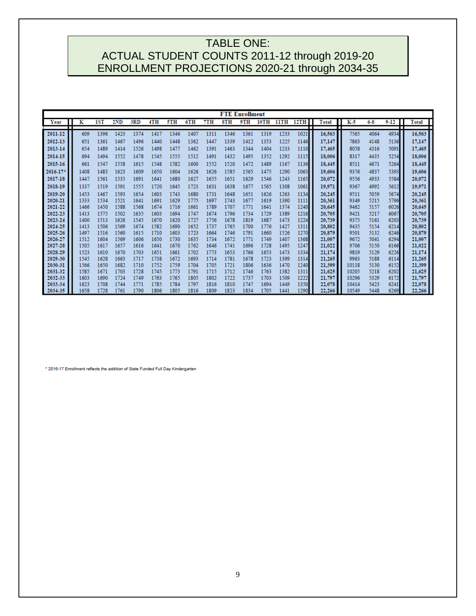## <span id="page-8-0"></span>TABLE ONE: ACTUAL STUDENT COUNTS 2011-12 through 2019-20 ENROLLMENT PROJECTIONS 2020-21 through 2034-35

|                    |              |              |              |              |              |              |              |              |              | <b>FTE Enrollment</b> |              |              |              |              |                |              |              |              |
|--------------------|--------------|--------------|--------------|--------------|--------------|--------------|--------------|--------------|--------------|-----------------------|--------------|--------------|--------------|--------------|----------------|--------------|--------------|--------------|
| Year               | K            | <b>1ST</b>   | 2ND          | 3RD          | 4TH          | 5TH          | 6TH          | 7TH          | 8TH          | 9TH                   | 10TH         | <b>IITH</b>  | 12TH         | <b>Total</b> | K-5            | $6 - 8$      | $9 - 12$     | <b>Total</b> |
| 2011-12            | 609          | 1396         | 1423         | 1374         | 1417         | 1346         | 1407         | 1311         | 1346         | 1361                  | 1319         | 1233         | 1021         | П<br>16,563  | 7565           | 4064         | 4934         | 16,563       |
|                    |              |              |              |              |              |              |              |              |              |                       |              |              |              |              |                |              |              |              |
| 2012-13            | 651          | 1361         | 1467         | 1496         | 1440         | 1448         | 1362         | 1447         | 1339         | 1412                  | 1353         | 1225         | 1146         | 17,147       | 7863           | 4148         | 5136         | 17,147       |
| 2013-14            | 654          | 1489         | 1414         | 1526         | 1498         | 1477         | 1462         | 1391         | 1463         | 1344                  | 1404         | 1233         | 1110         | 17.465       | 8058           | 4316         | 5091         | 17,465       |
| 2014-15            | 694          | 1494         | 1552         | 1478         | 1545         | 1555         | 1512         | 1491         | 1432         | 1495                  | 1352         | 1292         | 1115         | 18,006       | 8317           | 4435         | 5254         | 18,006       |
| 2015-16            | 661          | 1547         | 1558         | 1615         | 1548         | 1582         | 1600         | 1552         | 1520         | 1472                  | 1489         | 1167         | 1136         | 18,445       | 8511           | 4671         | 5264         | 18,445       |
| $2016 - 17$        | 1408         | 1483         | 1623         | 1609         | 1650         | 1604         | 1626         | 1626         | 1585         | 1565                  | 1475         | 1290         | 1063         | 19,606       | 9376           | 4837         | 5393         | 19,606       |
| 2017-18            | 1447         | 1561         | 1535         | 1691         | 1641         | 1680         | 1627         | 1655         | 1651         | 1629                  | 1546         | 1243         | 1165         | 20,072       | 9556           | 4933         | 5584         | 20,072       |
| 2018-19            | 1337         | 1519         | 1591         | 1555         | 1720         | 1645         | 1723         | 1631         | 1638         | 1677                  | 1565         | 1308         | 1061         | 19.971       | 9367           | 4992         | 5612         | 19,971       |
| 2019-20            | 1453         | 1467         | 1593         | 1654         | 1603         | 1743         | 1680         | 1731         | 1648         | 1651                  | 1626         | 1263         | 1134         | 20,245       | 9511           | 5059         | 5674         | 20,245       |
| 2020-21            | 1333         | 1534         | 1521         | 1641         | 1691         | 1629         | 1775         | 1697         | 1743         | 1677                  | 1619         | 1390         | 1111         | 20,361       | 9349           | 5215         | 5796         | 20,361       |
| 2021-22            | 1466         | 1450         | 1588         | 1568         | 1674         | 1716         | 1661         | 1789         | 1707         | 1771                  | 1641         | 1374         | 1240         | 20,645       | 9462           | 5157         | 6026         | 20,645       |
| 2022-23            | 1413         | 1575         | 1502         | 1635         | 1603         | 1694         | 1747         | 1674         | 1796         | 1734                  | 1729         | 1389         | 1216         | 20,705       | 9421           | 5217         | 6067         | 20,705       |
| 2023-24            | 1400         | 1513         | 1626         | 1545         | 1670         | 1620         | 1727         | 1756         | 1678         | 1819                  | 1687         | 1473         | 1224         | 20,739       | 9375           | 5161         | 6203         | 20,739       |
| 2024-25            | 1413         | 1506         | 1569         | 1674         | 1582         | 1690         | 1652         | 1737         | 1765         | 1700                  | 1776         | 1427         | 1311         | 20,802       | 9435           | 5154         | 6214         | 20,802       |
| 2025-26            | 1497         | 1516         | 1560         | 1615         | 1710         | 1603         | 1723         | 1664         | 1746         | 1791                  | 1660         | 1526         | 1270         | 20,879       | 9501           | 5132         | 6246         | 20,879       |
| 2026-27            | 1512         | 1604         | 1569         | 1606         | 1650         | 1730         | 1635         | 1734         | 1672         | 1771                  | 1749         | 1407         | 1368         | 21,007       | 9672           | 5041         | 6294         | 21,007       |
| 2027-28            | 1505         | 1617         | 1657         | 1616         | 1641         | 1670         | 1762         | 1646         | 1741         | 1696                  | 1728         | 1495         | 1247         | 21,022       | 9706           | 5150         | 6166         | 21,022       |
| 2028-29            | 1523         | 1610         | 1670         | 1703         | 1651         | 1661         | 1702         | 1773         | 1653         | 1766                  | 1653         | 1473         | 1334         | 21,174       | 9819           | 5129         | 6226         | 21,174       |
| 2029-30            | 1545         | 1628         | 1663         | 1717         | 1738         | 1672         | 1693         | 1714         | 1781         | 1678                  | 1723         | 1399         | 1314         | 21,265       | 9963           | 5188         | 6114         | 21,265       |
| 2030-31            | 1566         | 1650         | 1682         | 1710         | 1752         | 1759         | 1704         | 1705         | 1721         | 1806                  | 1636         | 1470         | 1240         | 21,399       | 10118          | 5130         | 6152         | 21,399       |
| 2031-32            | 1585         | 1671         | 1703         | 1728         | 1745         | 1773         | 1791         | 1715         | 1712         | 1746                  | 1763         | 1382         | 1311         | 21,625       | 10205          | 5218         | 6202         | 21,625       |
| 2032-33            | 1603         | 1690         | 1724         | 1749<br>1771 | 1763         | 1765         | 1805         | 1802         | 1722         | 1737                  | 1703         | 1509         | 1222         | 21,797       | 10296          | 5329         | 6172         | 21,797       |
| 2033-34<br>2034-35 | 1623<br>1658 | 1708<br>1728 | 1744<br>1761 | 1790         | 1785<br>1806 | 1784<br>1805 | 1797<br>1816 | 1816<br>1809 | 1810<br>1823 | 1747<br>1834          | 1694<br>1705 | 1449<br>1441 | 1350<br>1290 | 22,078       | 10414<br>10549 | 5423<br>5448 | 6241<br>6269 | 22,078       |
|                    |              |              |              |              |              |              |              |              |              |                       |              |              |              | 22,266       |                |              |              | 22,266       |

\* 2016-17 Enrollment reflects the addition of State Funded Full Day Kindergarten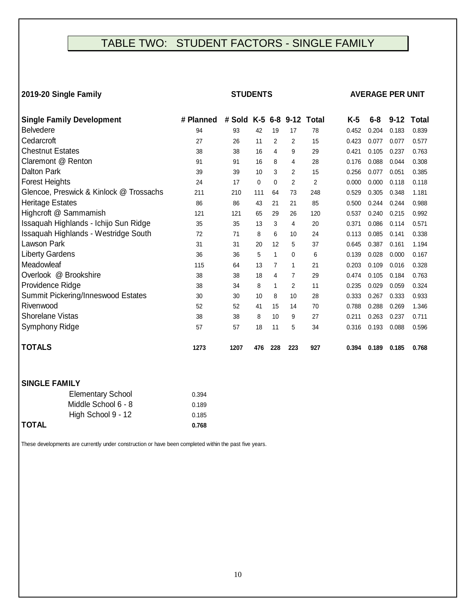## <span id="page-9-0"></span>TABLE TWO: STUDENT FACTORS - SINGLE FAMILY

#### **2019-20 Single Family**

#### **STUDENTS AVERAGE PER UNIT**

| <b>Single Family Development</b>        | # Planned | # Sold |          | $K-5$ 6-8      |                | 9-12 Total     | $K-5$ | $6 - 8$ | $9 - 12$ | <b>Total</b> |
|-----------------------------------------|-----------|--------|----------|----------------|----------------|----------------|-------|---------|----------|--------------|
| <b>Belvedere</b>                        | 94        | 93     | 42       | 19             | 17             | 78             | 0.452 | 0.204   | 0.183    | 0.839        |
| Cedarcroft                              | 27        | 26     | 11       | $\overline{2}$ | $\overline{2}$ | 15             | 0.423 | 0.077   | 0.077    | 0.577        |
| <b>Chestnut Estates</b>                 | 38        | 38     | 16       | 4              | 9              | 29             | 0.421 | 0.105   | 0.237    | 0.763        |
| Claremont @ Renton                      | 91        | 91     | 16       | 8              | 4              | 28             | 0.176 | 0.088   | 0.044    | 0.308        |
| <b>Dalton Park</b>                      | 39        | 39     | 10       | 3              | 2              | 15             | 0.256 | 0.077   | 0.051    | 0.385        |
| <b>Forest Heights</b>                   | 24        | 17     | $\Omega$ | $\mathbf 0$    | $\overline{2}$ | $\overline{2}$ | 0.000 | 0.000   | 0.118    | 0.118        |
| Glencoe, Preswick & Kinlock @ Trossachs | 211       | 210    | 111      | 64             | 73             | 248            | 0.529 | 0.305   | 0.348    | 1.181        |
| Heritage Estates                        | 86        | 86     | 43       | 21             | 21             | 85             | 0.500 | 0.244   | 0.244    | 0.988        |
| Highcroft @ Sammamish                   | 121       | 121    | 65       | 29             | 26             | 120            | 0.537 | 0.240   | 0.215    | 0.992        |
| Issaquah Highlands - Ichijo Sun Ridge   | 35        | 35     | 13       | 3              | 4              | 20             | 0.371 | 0.086   | 0.114    | 0.571        |
| Issaquah Highlands - Westridge South    | 72        | 71     | 8        | 6              | 10             | 24             | 0.113 | 0.085   | 0.141    | 0.338        |
| Lawson Park                             | 31        | 31     | 20       | 12             | 5              | 37             | 0.645 | 0.387   | 0.161    | 1.194        |
| <b>Liberty Gardens</b>                  | 36        | 36     | 5        | $\mathbf 1$    | $\Omega$       | 6              | 0.139 | 0.028   | 0.000    | 0.167        |
| Meadowleaf                              | 115       | 64     | 13       | $\overline{7}$ | $\overline{1}$ | 21             | 0.203 | 0.109   | 0.016    | 0.328        |
| Overlook @ Brookshire                   | 38        | 38     | 18       | 4              | 7              | 29             | 0.474 | 0.105   | 0.184    | 0.763        |
| Providence Ridge                        | 38        | 34     | 8        | 1              | $\overline{2}$ | 11             | 0.235 | 0.029   | 0.059    | 0.324        |
| Summit Pickering/Inneswood Estates      | 30        | 30     | 10       | 8              | 10             | 28             | 0.333 | 0.267   | 0.333    | 0.933        |
| Rivenwood                               | 52        | 52     | 41       | 15             | 14             | 70             | 0.788 | 0.288   | 0.269    | 1.346        |
| Shorelane Vistas                        | 38        | 38     | 8        | 10             | 9              | 27             | 0.211 | 0.263   | 0.237    | 0.711        |
| Symphony Ridge                          | 57        | 57     | 18       | 11             | 5              | 34             | 0.316 | 0.193   | 0.088    | 0.596        |
| <b>TOTALS</b>                           | 1273      | 1207   | 476      | 228            | 223            | 927            | 0.394 | 0.189   | 0.185    | 0.768        |

#### **SINGLE FAMILY**

|       | <b>Elementary School</b> | 0.394 |
|-------|--------------------------|-------|
|       | Middle School 6 - 8      | 0.189 |
|       | High School 9 - 12       | 0.185 |
| TOTAL |                          | 0.768 |

These developments are currently under construction or have been completed within the past five years.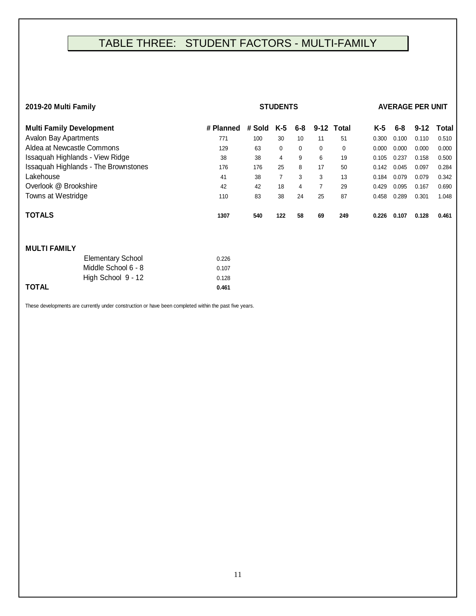## <span id="page-10-0"></span>TABLE THREE: STUDENT FACTORS - MULTI-FAMILY

| 2019-20 Multi Family                        |           |        | <b>AVERAGE PER UNIT</b> |         |                |            |       |       |          |       |
|---------------------------------------------|-----------|--------|-------------------------|---------|----------------|------------|-------|-------|----------|-------|
| <b>Multi Family Development</b>             | # Planned | # Sold | K-5                     | $6 - 8$ |                | 9-12 Total | K-5   | 6-8   | $9 - 12$ | Total |
| Avalon Bay Apartments                       | 771       | 100    | 30                      | 10      | 11             | 51         | 0.300 | 0.100 | 0.110    | 0.510 |
| Aldea at Newcastle Commons                  | 129       | 63     | 0                       | 0       | 0              | 0          | 0.000 | 0.000 | 0.000    | 0.000 |
| Issaquah Highlands - View Ridge             | 38        | 38     | 4                       | 9       | 6              | 19         | 0.105 | 0.237 | 0.158    | 0.500 |
| <b>Issaquah Highlands - The Brownstones</b> | 176       | 176    | 25                      | 8       | 17             | 50         | 0.142 | 0.045 | 0.097    | 0.284 |
| Lakehouse                                   | 41        | 38     | $\overline{7}$          | 3       | 3              | 13         | 0.184 | 0.079 | 0.079    | 0.342 |
| Overlook @ Brookshire                       | 42        | 42     | 18                      | 4       | $\overline{7}$ | 29         | 0.429 | 0.095 | 0.167    | 0.690 |
| Towns at Westridge                          | 110       | 83     | 38                      | 24      | 25             | 87         | 0.458 | 0.289 | 0.301    | 1.048 |
| <b>TOTALS</b>                               | 1307      | 540    | 122                     | 58      | 69             | 249        | 0.226 | 0.107 | 0.128    | 0.461 |
| <b>MULTI FAMILY</b>                         |           |        |                         |         |                |            |       |       |          |       |
| <b>Elementary School</b>                    | 0.226     |        |                         |         |                |            |       |       |          |       |
| Middle School 6 - 8                         | 0.107     |        |                         |         |                |            |       |       |          |       |

These developments are currently under construction or have been completed within the past five years.

**TOTAL 0.461**

High School 9 - 12 0.128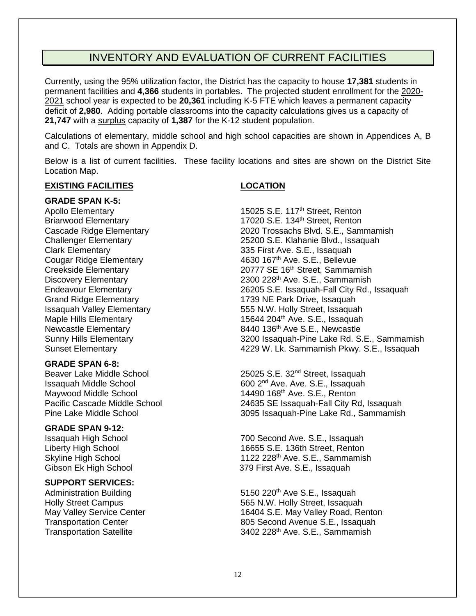## INVENTORY AND EVALUATION OF CURRENT FACILITIES

<span id="page-11-0"></span>Currently, using the 95% utilization factor, the District has the capacity to house **17,381** students in permanent facilities and **4,366** students in portables. The projected student enrollment for the 2020- 2021 school year is expected to be **20,361** including K-5 FTE which leaves a permanent capacity deficit of **2,980**. Adding portable classrooms into the capacity calculations gives us a capacity of **21,747** with a surplus capacity of **1,387** for the K-12 student population.

Calculations of elementary, middle school and high school capacities are shown in Appendices A, B and C. Totals are shown in Appendix D.

Below is a list of current facilities. These facility locations and sites are shown on the District Site Location Map.

#### **EXISTING FACILITIES LOCATION**

#### **GRADE SPAN K-5:**

#### **GRADE SPAN 6-8:**

Maywood Middle School 14490 168<sup>th</sup> Ave. S.E., Renton<br>Pacific Cascade Middle School 1585 24635 SE Issaquah-Fall City R

#### **GRADE SPAN 9-12:**

#### **SUPPORT SERVICES:**

Apollo Elementary **15025 S.E. 117<sup>th</sup> Street, Renton** Briarwood Elementary 17020 S.E. 134<sup>th</sup> Street, Renton<br>Cascade Ridge Elementary 1899 2020 Trossachs Blvd. S.E., Sam Cascade Ridge Elementary 2020 Trossachs Blvd. S.E., Sammamish<br>Challenger Elementary 25200 S.E. Klahanie Blvd., Issaquah 25200 S.E. Klahanie Blvd., Issaquah Clark Elementary 335 First Ave. S.E., Issaquah Cougar Ridge Elementary 4630 167th Ave. S.E., Bellevue Creekside Elementary **20777 SE 16<sup>th</sup> Street, Sammamish** Discovery Elementary 2300 228<sup>th</sup> Ave. S.E., Sammamish Endeavour Elementary 26205 S.E. Issaquah-Fall City Rd., Issaquah Grand Ridge Elementary 1739 NE Park Drive, Issaquah Issaquah Valley Elementary 555 N.W. Holly Street, Issaquah Maple Hills Elementary 15644 204<sup>th</sup> Ave. S.E., Issaquah Newcastle Elementary 1992 12:30 8440 136th Ave S.E., Newcastle Sunny Hills Elementary 3200 Issaquah-Pine Lake Rd. S.E., Sammamish Sunset Elementary 4229 W. Lk. Sammamish Pkwy. S.E., Issaquah

Beaver Lake Middle School 25025 S.E. 32nd Street, Issaquah Issaquah Middle School 600 2<sup>nd</sup> Ave. Ave. S.E., Issaquah Maywood Middle School 600 2nd Ave. S.E., Renton Pacific Cascade Middle School 24635 SE Issaquah-Fall City Rd, Issaquah<br>Pine Lake Middle School 2005 Issaquah-Pine Lake Rd., Sammamish 3095 Issaquah-Pine Lake Rd., Sammamish

Issaquah High School 700 Second Ave. S.E., Issaquah Liberty High School 16655 S.E. 136th Street, Renton Skyline High School **1122 228<sup>th</sup> Ave. S.E., Sammamish** Gibson Ek High School 379 First Ave. S.E., Issaquah

Administration Building 6150 220<sup>th</sup> Ave S.E., Issaquah Holly Street Campus 565 N.W. Holly Street, Issaquah May Valley Service Center 16404 S.E. May Valley Road, Renton<br>16404 S.E. May Valley Road, Renton<br>1695 Second Avenue S.E., Issaquah 805 Second Avenue S.E., Issaquah Transportation Satellite 3402 228<sup>th</sup> Ave. S.E., Sammamish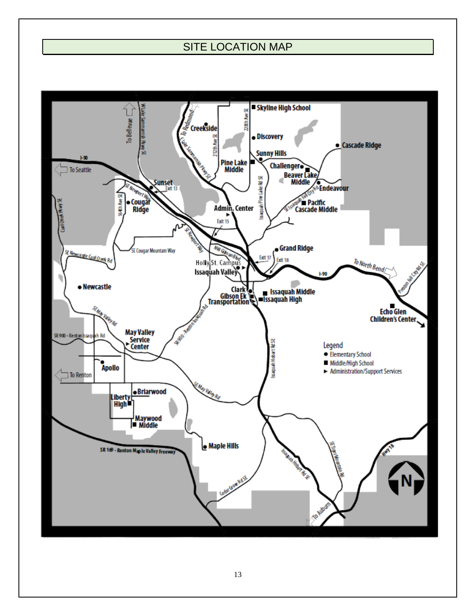## SITE LOCATION MAP

<span id="page-12-0"></span>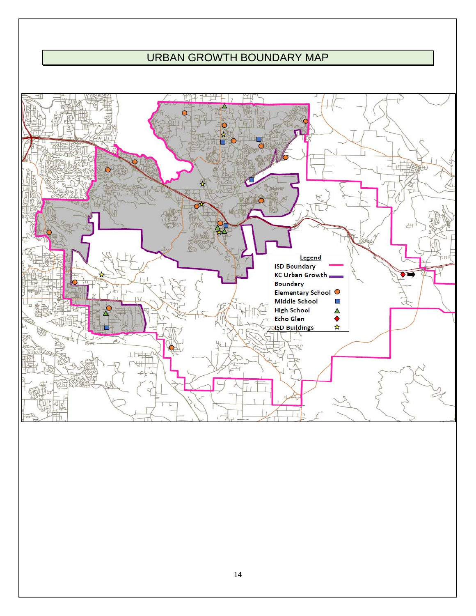## URBAN GROWTH BOUNDARY MAP

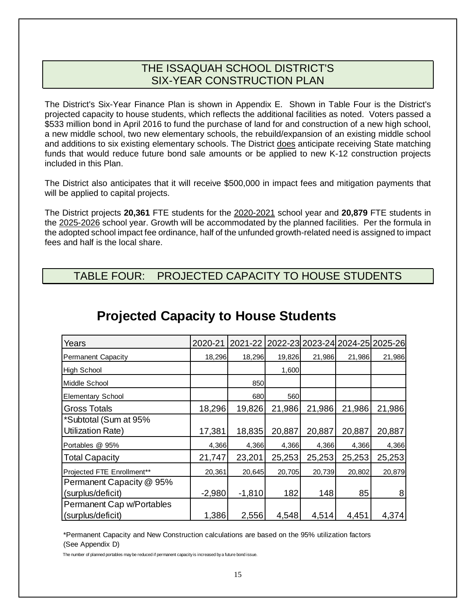## THE ISSAQUAH SCHOOL DISTRICT'S SIX-YEAR CONSTRUCTION PLAN

<span id="page-14-0"></span>The District's Six-Year Finance Plan is shown in Appendix E. Shown in Table Four is the District's projected capacity to house students, which reflects the additional facilities as noted. Voters passed a \$533 million bond in April 2016 to fund the purchase of land for and construction of a new high school, a new middle school, two new elementary schools, the rebuild/expansion of an existing middle school and additions to six existing elementary schools. The District does anticipate receiving State matching funds that would reduce future bond sale amounts or be applied to new K-12 construction projects included in this Plan.

The District also anticipates that it will receive \$500,000 in impact fees and mitigation payments that will be applied to capital projects.

The District projects **20,361** FTE students for the 2020-2021 school year and **20,879** FTE students in the 2025-2026 school year. Growth will be accommodated by the planned facilities. Per the formula in the adopted school impact fee ordinance, half of the unfunded growth-related need is assigned to impact fees and half is the local share.

<span id="page-14-1"></span>TABLE FOUR: PROJECTED CAPACITY TO HOUSE STUDENTS

| Years                      | 2020-21  | 2021-22 2022-23 2023-24 2024-25 2025-26 |        |        |        |        |
|----------------------------|----------|-----------------------------------------|--------|--------|--------|--------|
| Permanent Capacity         | 18,296   | 18,296                                  | 19,826 | 21,986 | 21,986 | 21,986 |
| <b>High School</b>         |          |                                         | 1,600  |        |        |        |
| Middle School              |          | 850                                     |        |        |        |        |
| <b>Elementary School</b>   |          | 680                                     | 560    |        |        |        |
| <b>Gross Totals</b>        | 18,296   | 19,826                                  | 21,986 | 21,986 | 21,986 | 21,986 |
| *Subtotal (Sum at 95%      |          |                                         |        |        |        |        |
| Utilization Rate)          | 17,381   | 18,835                                  | 20,887 | 20,887 | 20,887 | 20,887 |
| Portables @ 95%            | 4,366    | 4,366                                   | 4,366  | 4,366  | 4,366  | 4,366  |
| <b>Total Capacity</b>      | 21,747   | 23,201                                  | 25,253 | 25,253 | 25,253 | 25,253 |
| Projected FTE Enrollment** | 20,361   | 20,645                                  | 20,705 | 20,739 | 20,802 | 20,879 |
| Permanent Capacity @ 95%   |          |                                         |        |        |        |        |
| (surplus/deficit)          | $-2,980$ | $-1,810$                                | 182    | 148    | 85     | 8      |
| Permanent Cap w/Portables  |          |                                         |        |        |        |        |
| (surplus/deficit)          | 1,386    | 2,556                                   | 4,548  | 4,514  | 4,451  | 4,374  |

## **Projected Capacity to House Students**

\*Permanent Capacity and New Construction calculations are based on the 95% utilization factors (See Appendix D)

The number of planned portables may be reduced if permanent capacity is increased by a future bond issue.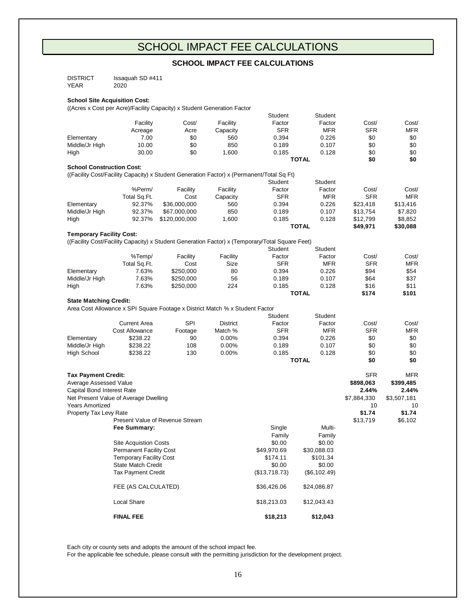## SCHOOL IMPACT FEE CALCULATIONS

#### **SCHOOL IMPACT FEE CALCULATIONS**

<span id="page-15-0"></span>

| <b>DISTRICT</b> | Issaguah SD #411 |
|-----------------|------------------|
| YEAR            | 2020             |

#### **School Site Acquisition Cost:**

((Acres x Cost per Acre)/Facility Capacity) x Student Generation Factor

|                                  |                                       |                                                                              |                 | Student                                                                                         | Student      |             |             |
|----------------------------------|---------------------------------------|------------------------------------------------------------------------------|-----------------|-------------------------------------------------------------------------------------------------|--------------|-------------|-------------|
|                                  | Facility                              | Cost/                                                                        | Facility        | Factor                                                                                          | Factor       | Cost/       | Cost/       |
|                                  | Acreage                               | Acre                                                                         | Capacity        | <b>SFR</b>                                                                                      | <b>MFR</b>   | <b>SFR</b>  | <b>MFR</b>  |
| Elementary                       | 7.00                                  | \$0                                                                          | 560             | 0.394                                                                                           | 0.226        | \$0         | \$0         |
| Middle/Jr High                   | 10.00                                 | \$0                                                                          | 850             | 0.189                                                                                           | 0.107        | \$0         | \$0         |
| High                             | 30.00                                 | \$0                                                                          | 1,600           | 0.185                                                                                           | 0.128        | \$0         | \$0         |
|                                  |                                       |                                                                              |                 |                                                                                                 | <b>TOTAL</b> | \$0         | \$0         |
| <b>School Construction Cost:</b> |                                       |                                                                              |                 |                                                                                                 |              |             |             |
|                                  |                                       |                                                                              |                 | ((Facility Cost/Facility Capacity) x Student Generation Factor) x (Permanent/Total Sq Ft)       |              |             |             |
|                                  |                                       |                                                                              |                 | Student                                                                                         | Student      |             |             |
|                                  | %Perm/                                | Facility                                                                     | Facility        | Factor                                                                                          | Factor       | Cost/       | Cost/       |
|                                  | Total Sq.Ft.                          | Cost                                                                         | Capacity        | <b>SFR</b>                                                                                      | <b>MFR</b>   | <b>SFR</b>  | <b>MFR</b>  |
| Elementary                       | 92.37%                                | \$36,000,000                                                                 | 560             | 0.394                                                                                           | 0.226        | \$23,418    | \$13,416    |
| Middle/Jr High                   | 92.37%                                | \$67,000,000                                                                 | 850             | 0.189                                                                                           | 0.107        | \$13,754    | \$7,820     |
| High                             | 92.37%                                | \$120,000,000                                                                | 1,600           | 0.185                                                                                           | 0.128        | \$12,799    | \$8,852     |
|                                  |                                       |                                                                              |                 |                                                                                                 | <b>TOTAL</b> | \$49,971    | \$30,088    |
| <b>Temporary Facility Cost:</b>  |                                       |                                                                              |                 |                                                                                                 |              |             |             |
|                                  |                                       |                                                                              |                 | ((Facility Cost/Facility Capacity) x Student Generation Factor) x (Temporary/Total Square Feet) |              |             |             |
|                                  |                                       |                                                                              |                 | Student                                                                                         | Student      |             |             |
|                                  | %Temp/                                | Facility                                                                     | Facility        | Factor                                                                                          | Factor       | Cost/       | Cost/       |
|                                  | Total Sq.Ft.                          | Cost                                                                         | Size            | <b>SFR</b>                                                                                      | <b>MFR</b>   | <b>SFR</b>  | <b>MFR</b>  |
| Elementary                       | 7.63%                                 | \$250,000                                                                    | 80              | 0.394                                                                                           | 0.226        | \$94        | \$54        |
| Middle/Jr High                   | 7.63%                                 | \$250,000                                                                    | 56              | 0.189                                                                                           | 0.107        | \$64        | \$37        |
| High                             | 7.63%                                 | \$250,000                                                                    | 224             | 0.185                                                                                           | 0.128        | \$16        | \$11        |
|                                  |                                       |                                                                              |                 |                                                                                                 | <b>TOTAL</b> | \$174       | \$101       |
| <b>State Matching Credit:</b>    |                                       |                                                                              |                 |                                                                                                 |              |             |             |
|                                  |                                       | Area Cost Allowance x SPI Square Footage x District Match % x Student Factor |                 |                                                                                                 |              |             |             |
|                                  |                                       |                                                                              |                 | Student                                                                                         | Student      |             |             |
|                                  | <b>Current Area</b>                   | <b>SPI</b>                                                                   | <b>District</b> | Factor                                                                                          | Factor       | Cost/       | Cost/       |
|                                  | <b>Cost Allowance</b>                 | Footage                                                                      | Match %         | <b>SFR</b>                                                                                      | <b>MFR</b>   | <b>SFR</b>  | <b>MFR</b>  |
| Elementary                       | \$238.22                              | 90                                                                           | 0.00%           | 0.394                                                                                           | 0.226        | \$0         | \$0         |
| Middle/Jr High                   | \$238.22                              | 108                                                                          | 0.00%           | 0.189                                                                                           | 0.107        | \$0         | \$0         |
| High School                      | \$238.22                              | 130                                                                          | 0.00%           | 0.185                                                                                           | 0.128        | \$0         | \$0         |
|                                  |                                       |                                                                              |                 |                                                                                                 | <b>TOTAL</b> | \$0         | \$0         |
|                                  |                                       |                                                                              |                 |                                                                                                 |              |             |             |
| <b>Tax Payment Credit:</b>       |                                       |                                                                              |                 |                                                                                                 |              | <b>SFR</b>  | <b>MFR</b>  |
| Average Assessed Value           |                                       |                                                                              |                 |                                                                                                 |              | \$898,063   | \$399,485   |
| Capital Bond Interest Rate       |                                       |                                                                              |                 |                                                                                                 |              | 2.44%       | 2.44%       |
|                                  | Net Present Value of Average Dwelling |                                                                              |                 |                                                                                                 |              | \$7,884,330 | \$3,507,181 |
| Years Amortized                  |                                       |                                                                              |                 |                                                                                                 |              | 10          | 10          |
| Property Tax Levy Rate           |                                       |                                                                              |                 |                                                                                                 |              | \$1.74      | \$1.74      |
|                                  |                                       | Present Value of Revenue Stream                                              |                 |                                                                                                 |              | \$13,719    | \$6,102     |
|                                  | Fee Summary:                          |                                                                              |                 | Single                                                                                          | Multi-       |             |             |
|                                  |                                       |                                                                              |                 | Family                                                                                          | Family       |             |             |
|                                  | <b>Site Acquistion Costs</b>          |                                                                              |                 | \$0.00                                                                                          | \$0.00       |             |             |
|                                  | <b>Permanent Facility Cost</b>        |                                                                              |                 | \$49,970.69                                                                                     | \$30,088.03  |             |             |
|                                  | <b>Temporary Facility Cost</b>        |                                                                              |                 | \$174.11                                                                                        | \$101.34     |             |             |
|                                  | <b>State Match Credit</b>             |                                                                              |                 | \$0.00                                                                                          | \$0.00       |             |             |
|                                  | <b>Tax Payment Credit</b>             |                                                                              |                 | (\$13,718.73)                                                                                   | (\$6,102.49) |             |             |
|                                  |                                       |                                                                              |                 |                                                                                                 |              |             |             |
|                                  | FEE (AS CALCULATED)                   |                                                                              |                 | \$36,426.06                                                                                     | \$24,086.87  |             |             |
|                                  | Local Share                           |                                                                              |                 | \$18,213.03                                                                                     | \$12,043.43  |             |             |
|                                  | <b>FINAL FEE</b>                      |                                                                              |                 | \$18,213                                                                                        | \$12,043     |             |             |

Each city or county sets and adopts the amount of the school impact fee.

For the applicable fee schedule, please consult with the permitting jurisdiction for the development project.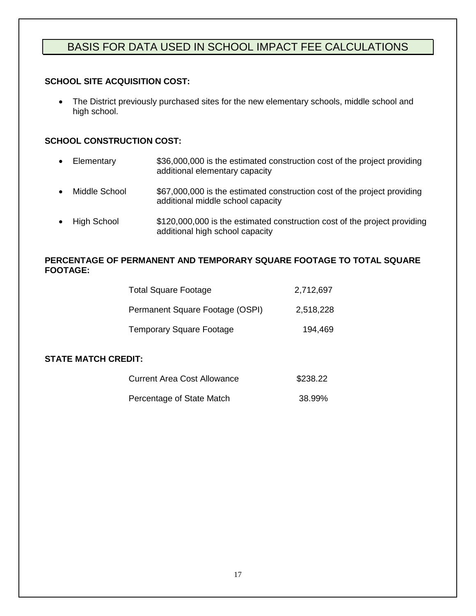## <span id="page-16-0"></span>BASIS FOR DATA USED IN SCHOOL IMPACT FEE CALCULATIONS

#### **SCHOOL SITE ACQUISITION COST:**

• The District previously purchased sites for the new elementary schools, middle school and high school.

#### **SCHOOL CONSTRUCTION COST:**

- Elementary  $$36,000,000$  is the estimated construction cost of the project providing additional elementary capacity
- Middle School  $$67,000,000$  is the estimated construction cost of the project providing additional middle school capacity
- High School  $$120,000,000$  is the estimated construction cost of the project providing additional high school capacity

#### **PERCENTAGE OF PERMANENT AND TEMPORARY SQUARE FOOTAGE TO TOTAL SQUARE FOOTAGE:**

| <b>Total Square Footage</b>     | 2,712,697 |
|---------------------------------|-----------|
| Permanent Square Footage (OSPI) | 2,518,228 |
| <b>Temporary Square Footage</b> | 194,469   |

#### **STATE MATCH CREDIT:**

<span id="page-16-1"></span>

| Current Area Cost Allowance | \$238.22 |
|-----------------------------|----------|
| Percentage of State Match   | 38.99%   |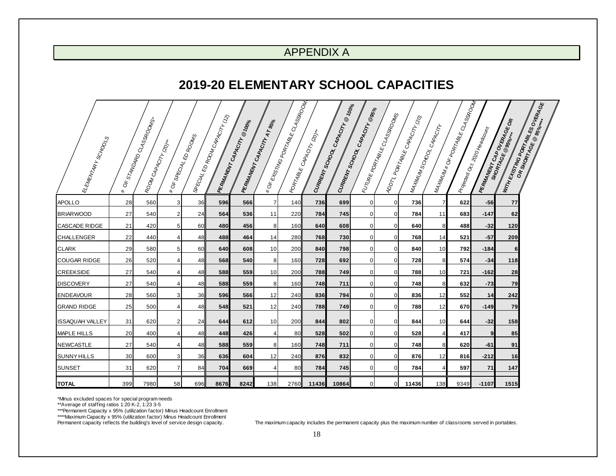## APPENDIX A

## **2019-20 ELEMENTARY SCHOOL CAPACITIES**

| ELEMENTARY SCHOOLS     | $\delta^{\!\!\!k}$<br>₩ | F STANDARD CLASSROOMS+<br>ROOM CAPACITY (20)* | $*$ OF         | ESPECIAL ED ROOMS<br>SPECIAL, | LED RODIN CAPACITY (12) | <b>PERMANENT CAPACITY</b> | PERMANENT CAPACITY AT 95% | * OF ENSTWO PORTABLE CLASSROOM | <b>CAPACYTY</b> ROIN<br>CURRENT SCHOOL C | LCAPACITY @ 100%<br>CURRENT SCHOOL | CAPACITY @95%  | EUTURE PORTABLE CLASSROOMS | ADDTLADATABLE CAPACITY (20)<br>WA-WINDINSCHOOL L | CAPACITY       | INANNIN#OFPORTABLECLASSROOM | t. 2020 Headco <sub>Unt</sub> | <b>PERMANENT CAP OVERAGE OR</b> | WITH EXISTING PORTABLES OVERAGE |
|------------------------|-------------------------|-----------------------------------------------|----------------|-------------------------------|-------------------------|---------------------------|---------------------------|--------------------------------|------------------------------------------|------------------------------------|----------------|----------------------------|--------------------------------------------------|----------------|-----------------------------|-------------------------------|---------------------------------|---------------------------------|
| <b>APOLLO</b>          | 28                      | 560                                           | 3              | 36                            | 596                     | 566                       | 7                         | 140                            | 736                                      | 699                                | 0              | $\overline{0}$             | 736                                              | $\overline{7}$ | 622                         | $-56$                         | 77                              |                                 |
| <b>BRIARWOOD</b>       | 27                      | 540                                           | $\overline{2}$ | 24                            | 564                     | 536                       | 11                        | 220                            | 784                                      | 745                                | $\Omega$       | $\overline{0}$             | 784                                              | 11             | 683                         | $-147$                        | 62                              |                                 |
| <b>CASCADE RIDGE</b>   | 21                      | 420                                           | 5 <sub>l</sub> | 60                            | 480                     | 456                       | 8                         | 160                            | 640                                      | 608                                | $\overline{0}$ | $\overline{0}$             | 640                                              | 8              | 488                         | $-32$                         | 120                             |                                 |
| <b>CHALLENGER</b>      | 22                      | 440                                           | 4              | 48                            | 488                     | 464                       | 14                        | 280                            | 768                                      | 730                                | $\Omega$       | $\overline{0}$             | 768                                              | 14             | 521                         | $-57$                         | 209                             |                                 |
| <b>CLARK</b>           | 29                      | 580                                           | 5 <sup>1</sup> | 60                            | 640                     | 608                       | 10                        | 200                            | 840                                      | 798                                | $\overline{0}$ | $\overline{0}$             | 840                                              | 10             | 792                         | $-184$                        | 6                               |                                 |
| <b>COUGAR RIDGE</b>    | 26                      | 520                                           | 4              | 48                            | 568                     | 540                       | 8                         | 160                            | 728                                      | 692                                | 0              | $\overline{0}$             | 728                                              | 8              | 574                         | $-34$                         | 118                             |                                 |
| <b>CREEKSIDE</b>       | 27                      | 540                                           | 4              | 48                            | 588                     | 559                       | 10                        | 200                            | 788                                      | 749                                | $\mathbf 0$    | $\overline{0}$             | 788                                              | 10             | 721                         | $-162$                        | 28                              |                                 |
| <b>DISCOVERY</b>       | 27                      | 540                                           |                | 48                            | 588                     | 559                       | 8                         | 160                            | 748                                      | 711                                | $\Omega$       | $\mathbf 0$                | 748                                              | 8              | 632                         | $-73$                         | 79                              |                                 |
| <b>ENDEAVOUR</b>       | 28                      | 560                                           | 3              | 36                            | 596                     | 566                       | 12                        | 240                            | 836                                      | 794                                | <sup>0</sup>   | $\mathbf 0$                | 836                                              | 12             | 552                         | 14                            | 242                             |                                 |
| <b>GRAND RIDGE</b>     | 25                      | 500                                           | 4              | 48                            | 548                     | 521                       | 12                        | 240                            | 788                                      | 749                                | $\overline{0}$ | $\mathbf 0$                | 788                                              | 12             | 670                         | $-149$                        | 79                              |                                 |
| <b>ISSAQUAH VALLEY</b> | 31                      | 620                                           | 2              | 24                            | 644                     | 612                       | 10                        | 200                            | 844                                      | 802                                | 0              | $\mathbf 0$                | 844                                              | 10             | 644                         | $-32$                         | 158                             |                                 |
| MAPLE HILLS            | 20                      | 400                                           | 4              | 48                            | 448                     | 426                       | 4                         | 80                             | 528                                      | 502                                | $\overline{0}$ | $\mathbf 0$                | 528                                              | $\overline{4}$ | 417                         | 9 <sub>l</sub>                | 85                              |                                 |
| NEWCASTLE              | 27                      | 540                                           | $\overline{4}$ | 48                            | 588                     | 559                       | 8                         | 160                            | 748                                      | 711                                | $\overline{0}$ | $\mathbf 0$                | 748                                              | 8              | 620                         | -61                           | 91                              |                                 |
| <b>SUNNY HILLS</b>     | 30                      | 600                                           | 3 <sup>1</sup> | 36                            | 636                     | 604                       | 12                        | 240                            | 876                                      | 832                                | $\overline{0}$ | $\overline{0}$             | 876                                              | 12             | 816                         | $-212$                        | 16                              |                                 |
| SUNSET                 | 31                      | 620                                           | $\overline{7}$ | 84                            | 704                     | 669                       | 4                         | 80                             | 784                                      | 745                                | $\Omega$       | $\mathbf 0$                | 784                                              |                | 597                         | 71                            | 147                             |                                 |
| <b>TOTAL</b>           | 399                     | 7980                                          | 58             | 696                           | 8676                    | 8242                      | 138                       | 2760                           | 11436                                    | 10864                              | $\Omega$       | $\overline{0}$             | 11436                                            | 138            | 9349                        | $-1107$                       | 1515                            |                                 |

\*Minus excluded spaces for special program needs

\*\*Average of staffing ratios 1:20 K-2, 1:23 3-5 \*\*\*Permanent Capacity x 95% (utilization factor) Minus Headcount Enrollment

\*\*\*\*Maximum Capacity x 95% (utilization factor) Minus Headcount Enrollment<br>Permanent capacity reflects the building's level of service design capacity.

The maximum capacity includes the permanent capacity plus the maximum number of classrooms served in portables.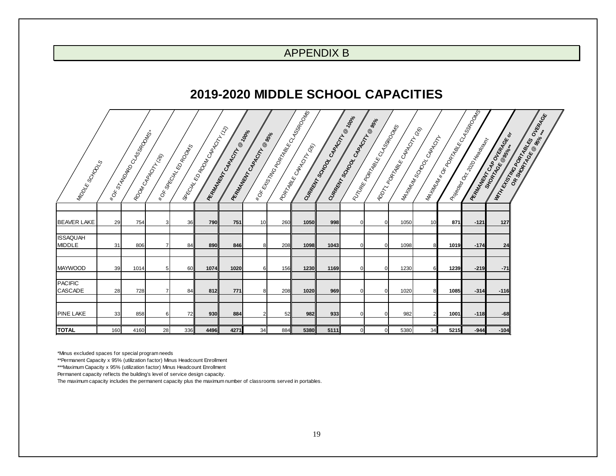## APPENDIX B

## **2019-2020 MIDDLE SCHOOL CAPACITIES**

<span id="page-18-0"></span>

| Mapole Scribodes                 |     | I ROK STAVON BOCASSADO NAS- | Room <sub>CAROC</sub> IVE<br>*OF SPECIAL | ED ROOMS | I secret ED Room (CAPA CITY) | <b>READAMENT CAPACITY</b> | ® zoole<br><b>REPARATION CAPACITYLE @ 95%</b> | I FOR BRIDGE BOARD RECTASSING | I Roman Recall Adoption | Cumerical Street Reader |          | CARACITY BASE<br>Interpretational Management | CAPACITLES<br>I 40 ON T ABLE L | WANTING SCROCK | Mantanak OR PORTUGAL CASSROOMS | I Riverga Cr. 200 Hagen May | REAMANT CAR OVERAGE OF | OVERAGE<br>OR SKORTSTORE REGISTER<br><b>Improper Contractor</b> |
|----------------------------------|-----|-----------------------------|------------------------------------------|----------|------------------------------|---------------------------|-----------------------------------------------|-------------------------------|-------------------------|-------------------------|----------|----------------------------------------------|--------------------------------|----------------|--------------------------------|-----------------------------|------------------------|-----------------------------------------------------------------|
|                                  |     |                             |                                          |          |                              |                           |                                               |                               |                         |                         |          |                                              |                                |                |                                |                             |                        |                                                                 |
| <b>BEAVER LAKE</b>               | 29  | 754                         | 3                                        | 36       | 790                          | 751                       | 10                                            | 260                           | 1050                    | 998                     |          | $\overline{0}$                               | 1050                           | 10             | 871                            | $-121$                      | 127                    |                                                                 |
| <b>ISSAQUAH</b><br><b>MIDDLE</b> | 31  | 806                         | 7                                        | 84       | 890                          | 846                       | 8                                             | 208                           | 1098                    | 1043                    |          | $\overline{0}$                               | 1098                           | 8              | 1019                           | $-174$                      | 24                     |                                                                 |
| <b>MAYWOOD</b>                   | 39  | 1014                        | 5                                        | 60       | 1074                         | 1020                      | $6 \mid$                                      | 156                           | 1230                    | 1169                    | $\Omega$ | $\overline{0}$                               | 1230                           | 6              | 1239                           | $-219$                      | $-71$                  |                                                                 |
| <b>PACIFIC</b><br><b>CASCADE</b> | 28  | 728                         | $\overline{ }$                           | 84       | 812                          | 771                       | 8                                             | 208                           | 1020                    | 969                     | U        | $\Omega$                                     | 1020                           | 8              | 1085                           | $-314$                      | $-116$                 |                                                                 |
| <b>PINE LAKE</b>                 | 33  | 858                         | 6                                        | 72       | 930                          | 884                       | $\overline{2}$                                | 52                            | 982                     | 933                     |          | $\overline{0}$                               | 982                            | $\overline{2}$ | 1001                           | $-118$                      | $-68$                  |                                                                 |
| <b>TOTAL</b>                     | 160 | 4160                        | 28                                       | 336      | 4496                         | 4271                      | 34                                            | 884                           | 5380                    | 5111                    |          | $\overline{0}$                               | 5380                           | 34             | 5215                           | $-944$                      | $-104$                 |                                                                 |

\*Minus excluded spaces for special program needs

\*\*Permanent Capacity x 95% (utilization factor) Minus Headcount Enrollment

\*\*\*Maximum Capacity x 95% (utilization factor) Minus Headcount Enrollment

Permanent capacity reflects the building's level of service design capacity.

The maximum capacity includes the permanent capacity plus the maximum number of classrooms served in portables.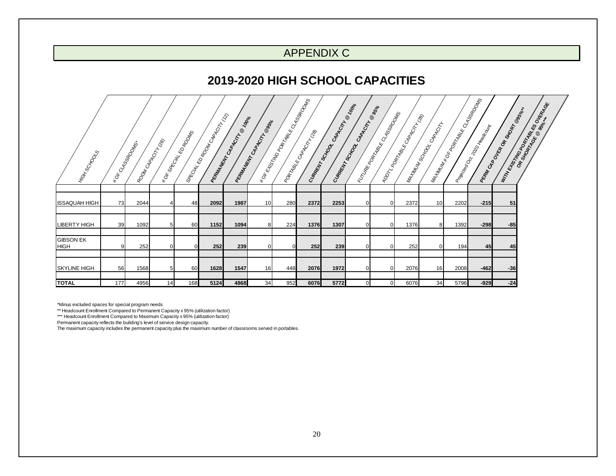## APPENDIX C

## **2019-2020 HIGH SCHOOL CAPACITIES**

<span id="page-19-0"></span>

| I Hrox <sub>SoxOQS</sub>        |     | I ROK CLASSRO DROK | Room <sub>Coppo</sub> | I ROK GAL KD ROOMS<br>SAECHY, | L ROOM CARAGILLA | People Marketing Road Road | PRIMATIVE CASA COLLEGE BASIL | I ROKENTAGRAPHARE CLASSROOMS | Popraecontrol Mary | Cumperintende Capacity Ridge<br>CURRENT SCHOOL | CARACITY @ 95% | I cryster damage of damage | Alayne Manuscripton | I Manufacture CAPACITY | Martinal Marchaster CrassRooms | <b>Lables</b> | Peak Cape Or Strong Basis | <b>WITH CHANGE OF THE BOOM REPAIR</b> |
|---------------------------------|-----|--------------------|-----------------------|-------------------------------|------------------|----------------------------|------------------------------|------------------------------|--------------------|------------------------------------------------|----------------|----------------------------|---------------------|------------------------|--------------------------------|---------------|---------------------------|---------------------------------------|
|                                 |     |                    |                       |                               |                  |                            |                              |                              |                    |                                                |                |                            |                     |                        |                                |               |                           |                                       |
| <b>ISSAQUAH HIGH</b>            | 73  | 2044               |                       | 48                            | 2092             | 1987                       | 10 <sup>1</sup>              | 280                          | 2372               | 2253                                           | $\Omega$       | $\overline{0}$             | 2372                | 10 <sup>1</sup>        | 2202                           | $-215$        | 51                        |                                       |
|                                 |     |                    |                       |                               |                  |                            |                              |                              |                    |                                                |                |                            |                     |                        |                                |               |                           |                                       |
| LIBERTY HIGH                    | 39  | 1092               | 5                     | 60                            | 1152             | 1094                       | 8                            | 224                          | 1376               | 1307                                           | $\Omega$       | $\overline{0}$             | 1376                | 8                      | 1392                           | $-298$        | $-85$                     |                                       |
|                                 |     |                    |                       |                               |                  |                            |                              |                              |                    |                                                |                |                            |                     |                        |                                |               |                           |                                       |
| <b>GIBSON EK</b><br><b>HIGH</b> | 9   | 252                | 0                     | $\overline{0}$                | 252              | 239                        | $\overline{0}$               |                              | 252                | 239                                            | $\Omega$       | $\mathbf 0$                | 252                 | $\overline{0}$         | 194                            | 45            | 45                        |                                       |
|                                 |     |                    |                       |                               |                  |                            |                              |                              |                    |                                                |                |                            |                     |                        |                                |               |                           |                                       |
|                                 |     |                    |                       |                               |                  |                            | 16 <sup>1</sup>              |                              |                    | 1972                                           |                |                            |                     |                        |                                |               |                           |                                       |
| <b>SKYLINE HIGH</b>             | 56  | 1568               | 5 <sub>5</sub>        | 60                            | 1628             | 1547                       |                              | 448                          | 2076               |                                                | $\Omega$       | $\overline{0}$             | 2076                | 16                     | 2008                           | $-462$        | $-36$                     |                                       |
| <b>TOTAL</b>                    | 177 | 4956               | 14                    | 168                           | 5124             | 4868                       | 34                           | 952                          | 6076               | 5772                                           | $\Omega$       | $\overline{0}$             | 6076                | 34                     | 5796                           | $-929$        | $-24$                     |                                       |

\*Minus excluded spaces for special program needs \*\* Headcount Enrollment Compared to Permanent Capacity x 95% (utilization factor) \*\*\* Headcount Enrollment Compared to Maximum Capacity x 95% (utilization factor)

Permanent capacity reflects the building's level of service design capacity.

The maximum capacity includes the permanent capacity plus the maximum number of classrooms served in portables.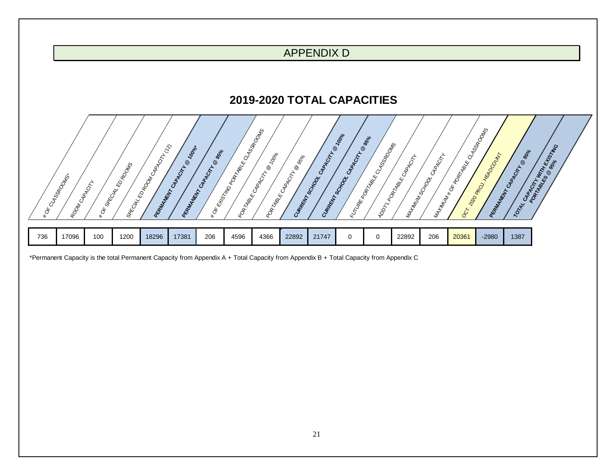

<span id="page-20-1"></span><span id="page-20-0"></span>\*Permanent Capacity is the total Permanent Capacity from Appendix A + Total Capacity from Appendix B + Total Capacity from Appendix C